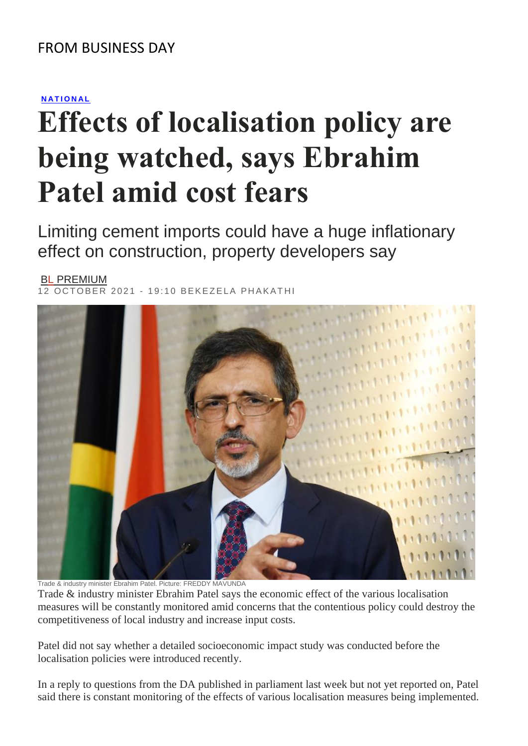# **[N A T I O N A L](https://www.businesslive.co.za/bd/national/)**

# **Effects of localisation policy are being watched, says Ebrahim Patel amid cost fears**

Limiting cement imports could have a huge inflationary effect on construction, property developers say

#### BL [PREMIUM](https://www.businesslive.co.za/premium/)  $\overline{OCTOBER}$  2021 - 19:10 BEKEZELA PHAKATHI



Trade & industry minister Ebrahim Patel. Picture: FREDDY MAVUNDA

Trade & industry minister Ebrahim Patel says the economic effect of the various localisation measures will be constantly monitored amid concerns that the contentious policy could destroy the competitiveness of local industry and increase input costs.

Patel did not say whether a detailed socioeconomic impact study was conducted before the localisation policies were introduced recently.

In a reply to questions from the DA published in parliament last week but not yet reported on, Patel said there is constant monitoring of the effects of various localisation measures being implemented.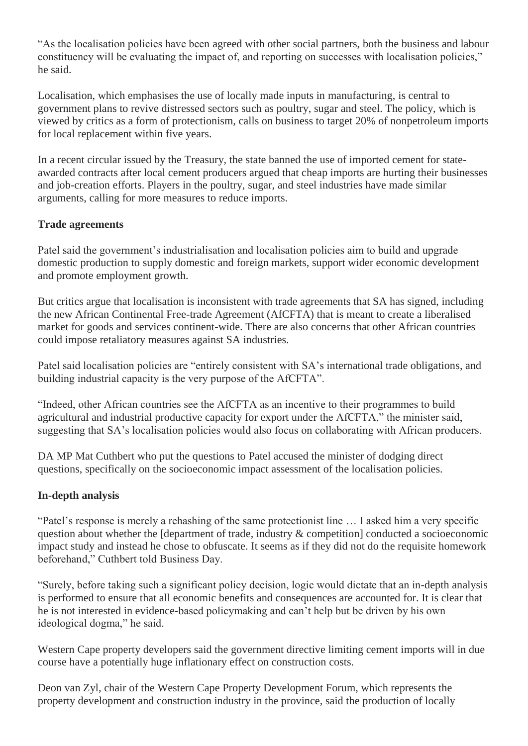"As the localisation policies have been agreed with other social partners, both the business and labour constituency will be evaluating the impact of, and reporting on successes with localisation policies," he said.

Localisation, which emphasises the use of locally made inputs in manufacturing, is central to government plans to revive distressed sectors such as poultry, sugar and steel. The policy, which is viewed by critics as a form of protectionism, calls on business to target 20% of nonpetroleum imports for local replacement within five years.

In a recent circular issued by the Treasury, the state banned the use of imported cement for stateawarded contracts after local cement producers argued that cheap imports are hurting their businesses and job-creation efforts. Players in the poultry, sugar, and steel industries have made similar arguments, calling for more measures to reduce imports.

## **Trade agreements**

Patel said the government's industrialisation and localisation policies aim to build and upgrade domestic production to supply domestic and foreign markets, support wider economic development and promote employment growth.

But critics argue that localisation is inconsistent with trade agreements that SA has signed, including the new African Continental Free-trade Agreement (AfCFTA) that is meant to create a liberalised market for goods and services continent-wide. There are also concerns that other African countries could impose retaliatory measures against SA industries.

Patel said localisation policies are "entirely consistent with SA's international trade obligations, and building industrial capacity is the very purpose of the AfCFTA".

"Indeed, other African countries see the AfCFTA as an incentive to their programmes to build agricultural and industrial productive capacity for export under the AfCFTA," the minister said, suggesting that SA's localisation policies would also focus on collaborating with African producers.

DA MP Mat Cuthbert who put the questions to Patel accused the minister of dodging direct questions, specifically on the socioeconomic impact assessment of the localisation policies.

## **In-depth analysis**

"Patel's response is merely a rehashing of the same protectionist line … I asked him a very specific question about whether the [department of trade, industry & competition] conducted a socioeconomic impact study and instead he chose to obfuscate. It seems as if they did not do the requisite homework beforehand," Cuthbert told Business Day.

"Surely, before taking such a significant policy decision, logic would dictate that an in-depth analysis is performed to ensure that all economic benefits and consequences are accounted for. It is clear that he is not interested in evidence-based policymaking and can't help but be driven by his own ideological dogma," he said.

Western Cape property developers said the government directive limiting cement imports will in due course have a potentially huge inflationary effect on construction costs.

Deon van Zyl, chair of the Western Cape Property Development Forum, which represents the property development and construction industry in the province, said the production of locally